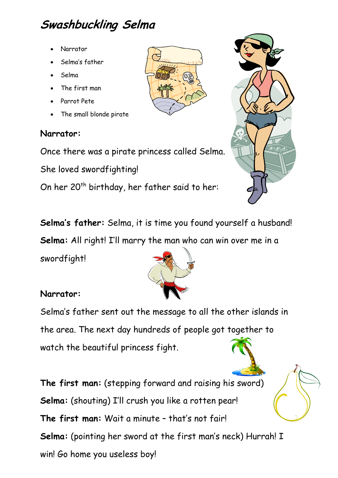## **Swashbuckling Selma**

- Narrator
- Selma's father
- Selma
- The first man
- Parrot Pete
- The small blonde pirate

## **Narrator:**

Once there was a pirate princess called Selma.

She loved swordfighting!

On her 20<sup>th</sup> birthday, her father said to her:

**Selma's father:** Selma, it is time you found yourself a husband!

**Selma:** All right! I'll marry the man who can win over me in a

swordfight!

## **Narrator:**

Selma's father sent out the message to all the other islands in the area. The next day hundreds of people got together to watch the beautiful princess fight.

**The first man:** (stepping forward and raising his sword) **Selma:** (shouting) I'll crush you like a rotten pear! **The first man:** Wait a minute – that's not fair! **Selma:** (pointing her sword at the first man's neck) Hurrah! I win! Go home you useless boy!





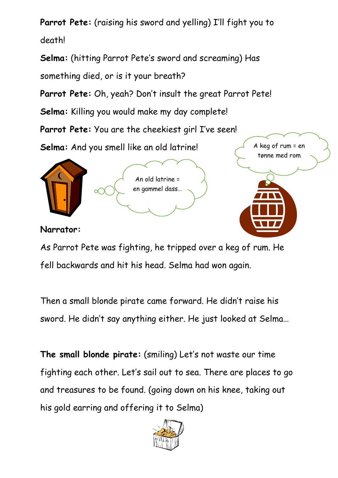**Parrot Pete:** (raising his sword and yelling) I'll fight you to death!

**Selma:** (hitting Parrot Pete's sword and screaming) Has something died, or is it your breath?

**Parrot Pete:** Oh, yeah? Don't insult the great Parrot Pete!

**Selma:** Killing you would make my day complete!

**Parrot Pete:** You are the cheekiest girl I've seen!

**Selma:** And you smell like an old latrine!





**Narrator:**

As Parrot Pete was fighting, he tripped over a keg of rum. He fell backwards and hit his head. Selma had won again.

Then a small blonde pirate came forward. He didn't raise his sword. He didn't say anything either. He just looked at Selma…

**The small blonde pirate:** (smiling) Let's not waste our time fighting each other. Let's sail out to sea. There are places to go and treasures to be found. (going down on his knee, taking out his gold earring and offering it to Selma)